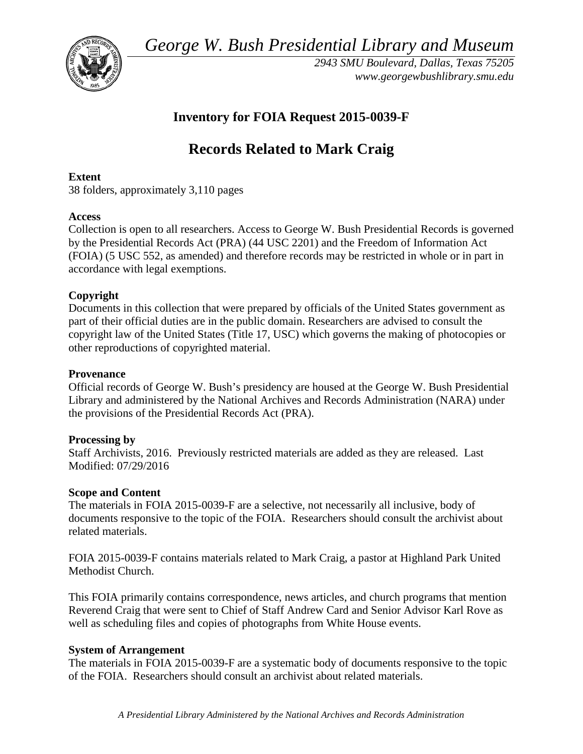*George W. Bush Presidential Library and Museum* 



 *2943 SMU Boulevard, Dallas, Texas 75205 <www.georgewbushlibrary.smu.edu>*

# **Inventory for FOIA Request 2015-0039-F**

# **Records Related to Mark Craig**

#### **Extent**

38 folders, approximately 3,110 pages

# **Access**

 by the Presidential Records Act (PRA) (44 USC 2201) and the Freedom of Information Act Collection is open to all researchers. Access to George W. Bush Presidential Records is governed (FOIA) (5 USC 552, as amended) and therefore records may be restricted in whole or in part in accordance with legal exemptions.

# **Copyright**

 Documents in this collection that were prepared by officials of the United States government as part of their official duties are in the public domain. Researchers are advised to consult the copyright law of the United States (Title 17, USC) which governs the making of photocopies or other reproductions of copyrighted material.

#### **Provenance**

 Official records of George W. Bush's presidency are housed at the George W. Bush Presidential Library and administered by the National Archives and Records Administration (NARA) under the provisions of the Presidential Records Act (PRA).

# **Processing by**

 Staff Archivists, 2016. Previously restricted materials are added as they are released. Last Modified: 07/29/2016

# **Scope and Content**

The materials in FOIA 2015-0039-F are a selective, not necessarily all inclusive, body of documents responsive to the topic of the FOIA. Researchers should consult the archivist about related materials.

FOIA 2015-0039-F contains materials related to Mark Craig, a pastor at Highland Park United Methodist Church.

 This FOIA primarily contains correspondence, news articles, and church programs that mention Reverend Craig that were sent to Chief of Staff Andrew Card and Senior Advisor Karl Rove as well as scheduling files and copies of photographs from White House events.

# **System of Arrangement**

The materials in FOIA 2015-0039-F are a systematic body of documents responsive to the topic of the FOIA. Researchers should consult an archivist about related materials.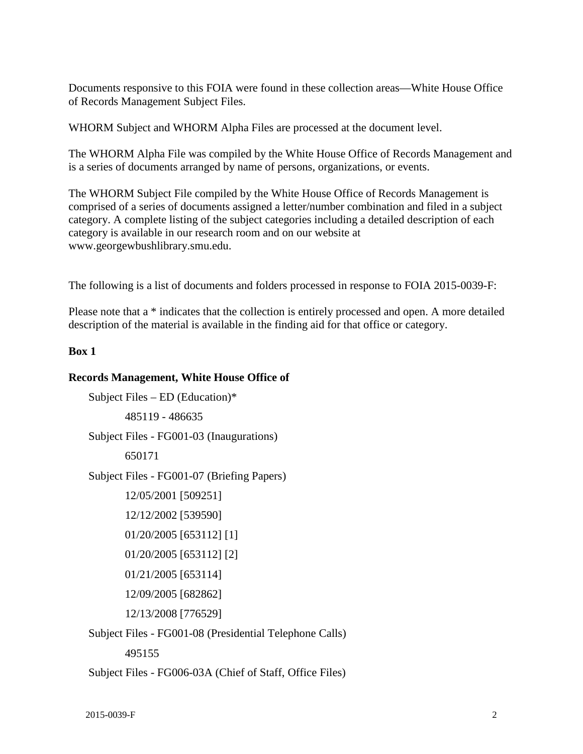Documents responsive to this FOIA were found in these collection areas—White House Office of Records Management Subject Files.

WHORM Subject and WHORM Alpha Files are processed at the document level.

The WHORM Alpha File was compiled by the White House Office of Records Management and is a series of documents arranged by name of persons, organizations, or events.

The WHORM Subject File compiled by the White House Office of Records Management is comprised of a series of documents assigned a letter/number combination and filed in a subject category. A complete listing of the subject categories including a detailed description of each category is available in our research room and on our website at <www.georgewbushlibrary.smu.edu>.

The following is a list of documents and folders processed in response to FOIA 2015-0039-F:

 description of the material is available in the finding aid for that office or category. Please note that a \* indicates that the collection is entirely processed and open. A more detailed

#### **Box 1**

#### **Records Management, White House Office of**

```
Subject Files – ED (Education)*
```
485119 - 486635

Subject Files - FG001-03 (Inaugurations)

650171

Subject Files - FG001-07 (Briefing Papers)

```
12/05/2001 [509251]
```

```
12/12/2002 [539590]
```

```
01/20/2005 [653112] [1]
```

```
01/20/2005 [653112] [2]
```

```
01/21/2005 [653114]
```
12/09/2005 [682862]

12/13/2008 [776529]

Subject Files - FG001-08 (Presidential Telephone Calls)

495155

Subject Files - FG006-03A (Chief of Staff, Office Files)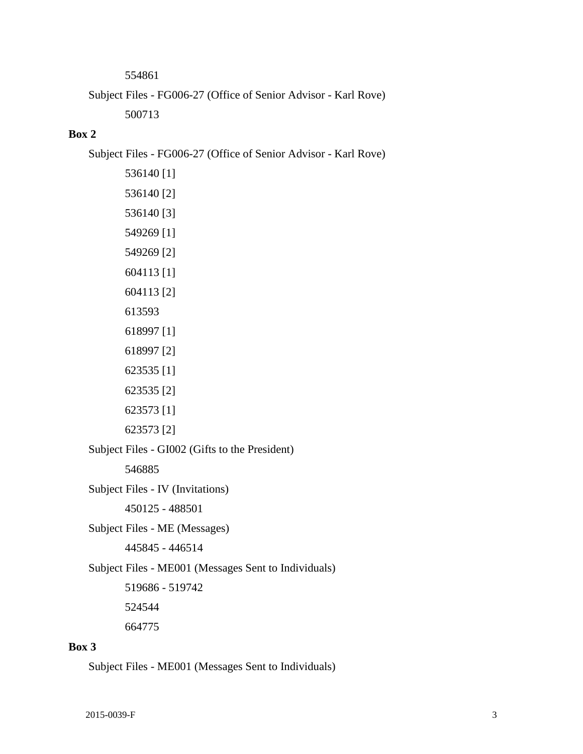554861

Subject Files - FG006-27 (Office of Senior Advisor - Karl Rove)

500713

#### **Box 2**

Subject Files - FG006-27 (Office of Senior Advisor - Karl Rove)

536140 [1] 536140 [2] 536140 [3] 549269 [1] 549269 [2] 604113 [1] 604113 [2] 613593 618997 [1] 618997 [2] 623535 [1] 623535 [2] 623573 [1] 623573 [2] Subject Files - GI002 (Gifts to the President) 546885

Subject Files - IV (Invitations)

450125 - 488501

Subject Files - ME (Messages)

445845 - 446514

Subject Files - ME001 (Messages Sent to Individuals)

519686 - 519742

524544

664775

#### **Box 3**

Subject Files - ME001 (Messages Sent to Individuals)